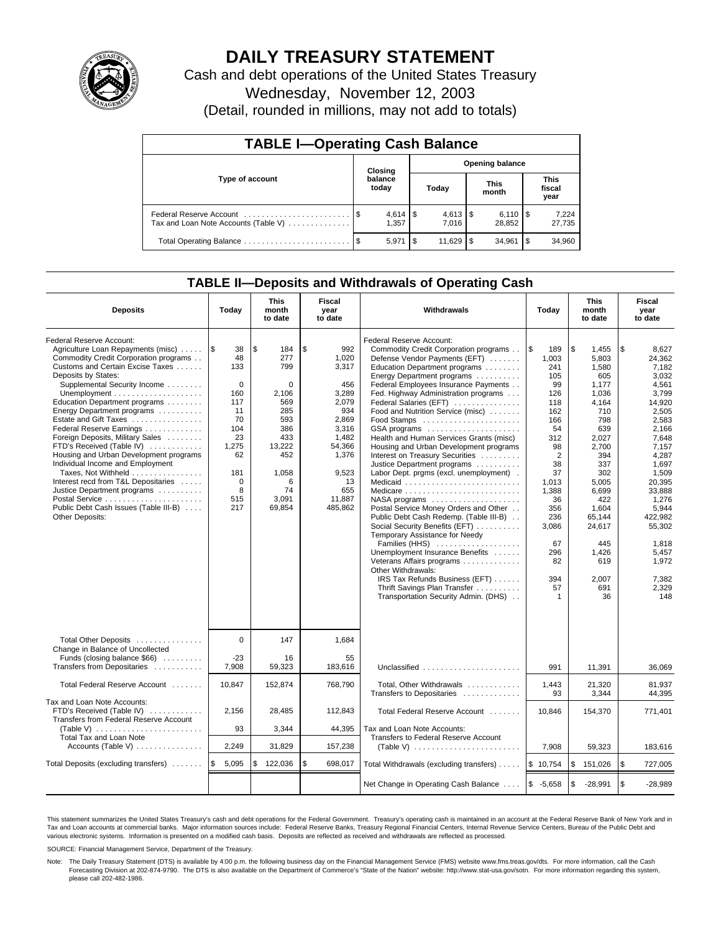

# **DAILY TREASURY STATEMENT**

Cash and debt operations of the United States Treasury Wednesday, November 12, 2003 (Detail, rounded in millions, may not add to totals)

| <b>TABLE I-Operating Cash Balance</b> |         |                      |                        |            |  |                                  |                               |                 |  |
|---------------------------------------|---------|----------------------|------------------------|------------|--|----------------------------------|-------------------------------|-----------------|--|
|                                       | Closing |                      | <b>Opening balance</b> |            |  |                                  |                               |                 |  |
| Type of account                       |         | balance<br>today     |                        | Today      |  | <b>This</b><br>month             | <b>This</b><br>fiscal<br>year |                 |  |
| Tax and Loan Note Accounts (Table V)  |         | $4,614$ \\$<br>1.357 |                        | 7.016      |  | $6,110$ $\frac{15}{2}$<br>28.852 |                               | 7,224<br>27,735 |  |
|                                       |         | 5,971                |                        | $11.629$ S |  | 34.961                           | 1\$                           | 34.960          |  |

## **TABLE II—Deposits and Withdrawals of Operating Cash**

| <b>Deposits</b>                                                                                                                                                                                                                                                                                                                                                                                                                                                                                                                                                                                                                | Today                                                                                                                      | <b>This</b><br>month<br>to date                                                                                                           | <b>Fiscal</b><br>Withdrawals<br>year<br>to date                                                                                                      |                                                                                                                                                                                                                                                                                                                                                                                                                                                                                                                                                                                                                                                                                                                                                                                                                                                                                                                                        | Today                                                                                                                                                                                                   | <b>This</b><br>month<br>to date                                                                                                                                                                                                | <b>Fiscal</b><br>year<br>to date                                                                                                                                                                                                                            |
|--------------------------------------------------------------------------------------------------------------------------------------------------------------------------------------------------------------------------------------------------------------------------------------------------------------------------------------------------------------------------------------------------------------------------------------------------------------------------------------------------------------------------------------------------------------------------------------------------------------------------------|----------------------------------------------------------------------------------------------------------------------------|-------------------------------------------------------------------------------------------------------------------------------------------|------------------------------------------------------------------------------------------------------------------------------------------------------|----------------------------------------------------------------------------------------------------------------------------------------------------------------------------------------------------------------------------------------------------------------------------------------------------------------------------------------------------------------------------------------------------------------------------------------------------------------------------------------------------------------------------------------------------------------------------------------------------------------------------------------------------------------------------------------------------------------------------------------------------------------------------------------------------------------------------------------------------------------------------------------------------------------------------------------|---------------------------------------------------------------------------------------------------------------------------------------------------------------------------------------------------------|--------------------------------------------------------------------------------------------------------------------------------------------------------------------------------------------------------------------------------|-------------------------------------------------------------------------------------------------------------------------------------------------------------------------------------------------------------------------------------------------------------|
| Federal Reserve Account:<br>Agriculture Loan Repayments (misc)<br>Commodity Credit Corporation programs<br>Customs and Certain Excise Taxes<br>Deposits by States:<br>Supplemental Security Income<br>Education Department programs<br>Energy Department programs<br>Estate and Gift Taxes<br>Federal Reserve Earnings<br>Foreign Deposits, Military Sales<br>FTD's Received (Table IV)<br>Housing and Urban Development programs<br>Individual Income and Employment<br>Taxes, Not Withheld<br>Interest recd from T&L Depositaries<br>Justice Department programs<br>Public Debt Cash Issues (Table III-B)<br>Other Deposits: | ۱\$<br>38<br>48<br>133<br>$\mathbf 0$<br>160<br>117<br>11<br>70<br>104<br>23<br>1,275<br>62<br>181<br>0<br>8<br>515<br>217 | l \$<br>184<br>277<br>799<br>$\Omega$<br>2,106<br>569<br>285<br>593<br>386<br>433<br>13,222<br>452<br>1,058<br>6<br>74<br>3.091<br>69,854 | \$<br>992<br>1,020<br>3,317<br>456<br>3,289<br>2.079<br>934<br>2,869<br>3,316<br>1,482<br>54,366<br>1,376<br>9,523<br>13<br>655<br>11.887<br>485,862 | Federal Reserve Account:<br>Commodity Credit Corporation programs<br>Defense Vendor Payments (EFT)<br>Education Department programs<br>Energy Department programs<br>Federal Employees Insurance Payments<br>Fed. Highway Administration programs<br>Federal Salaries (EFT)<br>Food and Nutrition Service (misc)<br>Food Stamps<br>GSA programs<br>Health and Human Services Grants (misc)<br>Housing and Urban Development programs<br>Interest on Treasury Securities<br>Justice Department programs<br>Labor Dept. prgms (excl. unemployment).<br>Medicaid<br>Postal Service Money Orders and Other<br>Public Debt Cash Redemp. (Table III-B)<br>Social Security Benefits (EFT)<br>Temporary Assistance for Needy<br>Families (HHS)<br>Unemployment Insurance Benefits<br>Veterans Affairs programs<br>Other Withdrawals:<br>IRS Tax Refunds Business (EFT)<br>Thrift Savings Plan Transfer<br>Transportation Security Admin. (DHS) | \$<br>189<br>1,003<br>241<br>105<br>99<br>126<br>118<br>162<br>166<br>54<br>312<br>98<br>$\overline{2}$<br>38<br>37<br>1,013<br>1.388<br>36<br>356<br>236<br>3,086<br>67<br>296<br>82<br>394<br>57<br>1 | \$<br>1,455<br>5,803<br>1,580<br>605<br>1.177<br>1.036<br>4.164<br>710<br>798<br>639<br>2,027<br>2,700<br>394<br>337<br>302<br>5.005<br>6.699<br>422<br>1,604<br>65,144<br>24,617<br>445<br>1,426<br>619<br>2.007<br>691<br>36 | 1\$<br>8,627<br>24,362<br>7,182<br>3,032<br>4,561<br>3.799<br>14,920<br>2,505<br>2,583<br>2.166<br>7,648<br>7,157<br>4,287<br>1,697<br>1,509<br>20,395<br>33.888<br>1.276<br>5,944<br>422.982<br>55,302<br>1,818<br>5,457<br>1,972<br>7.382<br>2,329<br>148 |
| Total Other Deposits<br>Change in Balance of Uncollected<br>Funds (closing balance \$66)<br>Transfers from Depositaries                                                                                                                                                                                                                                                                                                                                                                                                                                                                                                        | $\Omega$<br>$-23$<br>7,908                                                                                                 | 147<br>16<br>59,323                                                                                                                       | 1,684<br>55<br>183,616                                                                                                                               | Unclassified                                                                                                                                                                                                                                                                                                                                                                                                                                                                                                                                                                                                                                                                                                                                                                                                                                                                                                                           | 991                                                                                                                                                                                                     |                                                                                                                                                                                                                                |                                                                                                                                                                                                                                                             |
| Total Federal Reserve Account                                                                                                                                                                                                                                                                                                                                                                                                                                                                                                                                                                                                  | 10.847                                                                                                                     | 152,874                                                                                                                                   | 768,790                                                                                                                                              | Total. Other Withdrawals                                                                                                                                                                                                                                                                                                                                                                                                                                                                                                                                                                                                                                                                                                                                                                                                                                                                                                               | 1,443                                                                                                                                                                                                   | 11,391<br>21.320                                                                                                                                                                                                               | 36,069<br>81.937                                                                                                                                                                                                                                            |
| Tax and Loan Note Accounts:<br>FTD's Received (Table IV)<br>Transfers from Federal Reserve Account<br>(Table V) $\ldots \ldots \ldots \ldots \ldots \ldots \ldots$<br>Total Tax and Loan Note                                                                                                                                                                                                                                                                                                                                                                                                                                  | 2,156<br>93                                                                                                                | 28,485<br>3,344                                                                                                                           | 112,843<br>44,395                                                                                                                                    | Transfers to Depositaries<br>Total Federal Reserve Account<br>Tax and Loan Note Accounts:<br>Transfers to Federal Reserve Account                                                                                                                                                                                                                                                                                                                                                                                                                                                                                                                                                                                                                                                                                                                                                                                                      | 93<br>10,846                                                                                                                                                                                            | 3.344<br>154,370                                                                                                                                                                                                               | 44.395<br>771,401                                                                                                                                                                                                                                           |
| Accounts (Table V)                                                                                                                                                                                                                                                                                                                                                                                                                                                                                                                                                                                                             | 2,249                                                                                                                      | 31,829                                                                                                                                    | 157,238                                                                                                                                              | (Table V) $\ldots \ldots \ldots \ldots \ldots \ldots \ldots$                                                                                                                                                                                                                                                                                                                                                                                                                                                                                                                                                                                                                                                                                                                                                                                                                                                                           | 7,908                                                                                                                                                                                                   | 59,323                                                                                                                                                                                                                         | 183,616                                                                                                                                                                                                                                                     |
| Total Deposits (excluding transfers)                                                                                                                                                                                                                                                                                                                                                                                                                                                                                                                                                                                           | 5,095<br>$\sqrt{3}$                                                                                                        | \$<br>122,036                                                                                                                             | \$<br>698,017                                                                                                                                        | Total Withdrawals (excluding transfers)                                                                                                                                                                                                                                                                                                                                                                                                                                                                                                                                                                                                                                                                                                                                                                                                                                                                                                | \$10,754                                                                                                                                                                                                | \$<br>151,026                                                                                                                                                                                                                  | \$<br>727,005                                                                                                                                                                                                                                               |
|                                                                                                                                                                                                                                                                                                                                                                                                                                                                                                                                                                                                                                |                                                                                                                            |                                                                                                                                           |                                                                                                                                                      | Net Change in Operating Cash Balance                                                                                                                                                                                                                                                                                                                                                                                                                                                                                                                                                                                                                                                                                                                                                                                                                                                                                                   | $$ -5,658$                                                                                                                                                                                              | \$<br>$-28,991$                                                                                                                                                                                                                | l \$<br>$-28,989$                                                                                                                                                                                                                                           |

This statement summarizes the United States Treasury's cash and debt operations for the Federal Government. Treasury's operating cash is maintained in an account at the Federal Reserve Bank of New York and in Tax and Loan accounts at commercial banks. Major information sources include: Federal Reserve Banks, Treasury Regional Financial Centers, Internal Revenue Service Centers, Bureau of the Public Debt and<br>various electronic s

SOURCE: Financial Management Service, Department of the Treasury.

Note: The Daily Treasury Statement (DTS) is available by 4:00 p.m. the following business day on the Financial Management Service (FMS) website www.fms.treas.gov/dts. For more information, call the Cash Forecasting Division at 202-874-9790. The DTS is also available on the Department of Commerce's "State of the Nation" website: http://www.stat-usa.gov/sotn. For more information regarding this system, please call 202-482-1986.